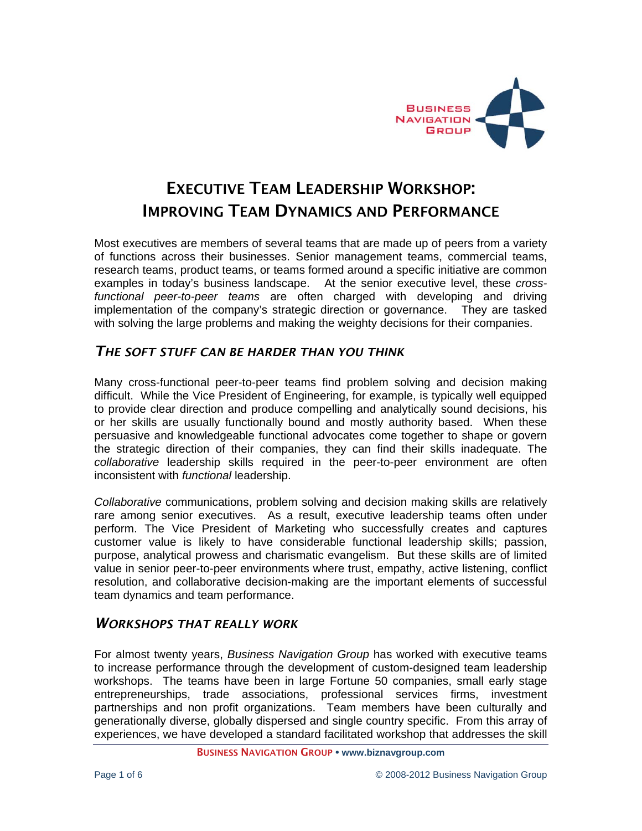

# EXECUTIVE TEAM LEADERSHIP WORKSHOP: IMPROVING TEAM DYNAMICS AND PERFORMANCE

Most executives are members of several teams that are made up of peers from a variety of functions across their businesses. Senior management teams, commercial teams, research teams, product teams, or teams formed around a specific initiative are common examples in today's business landscape. At the senior executive level, these *crossfunctional peer-to-peer teams* are often charged with developing and driving implementation of the company's strategic direction or governance. They are tasked with solving the large problems and making the weighty decisions for their companies.

## *THE SOFT STUFF CAN BE HARDER THAN YOU THINK*

Many cross-functional peer-to-peer teams find problem solving and decision making difficult. While the Vice President of Engineering, for example, is typically well equipped to provide clear direction and produce compelling and analytically sound decisions, his or her skills are usually functionally bound and mostly authority based. When these persuasive and knowledgeable functional advocates come together to shape or govern the strategic direction of their companies, they can find their skills inadequate. The *collaborative* leadership skills required in the peer-to-peer environment are often inconsistent with *functional* leadership.

*Collaborative* communications, problem solving and decision making skills are relatively rare among senior executives. As a result, executive leadership teams often under perform. The Vice President of Marketing who successfully creates and captures customer value is likely to have considerable functional leadership skills; passion, purpose, analytical prowess and charismatic evangelism. But these skills are of limited value in senior peer-to-peer environments where trust, empathy, active listening, conflict resolution, and collaborative decision-making are the important elements of successful team dynamics and team performance.

## *WORKSHOPS THAT REALLY WORK*

For almost twenty years, *Business Navigation Group* has worked with executive teams to increase performance through the development of custom-designed team leadership workshops. The teams have been in large Fortune 50 companies, small early stage entrepreneurships, trade associations, professional services firms, investment partnerships and non profit organizations. Team members have been culturally and generationally diverse, globally dispersed and single country specific. From this array of experiences, we have developed a standard facilitated workshop that addresses the skill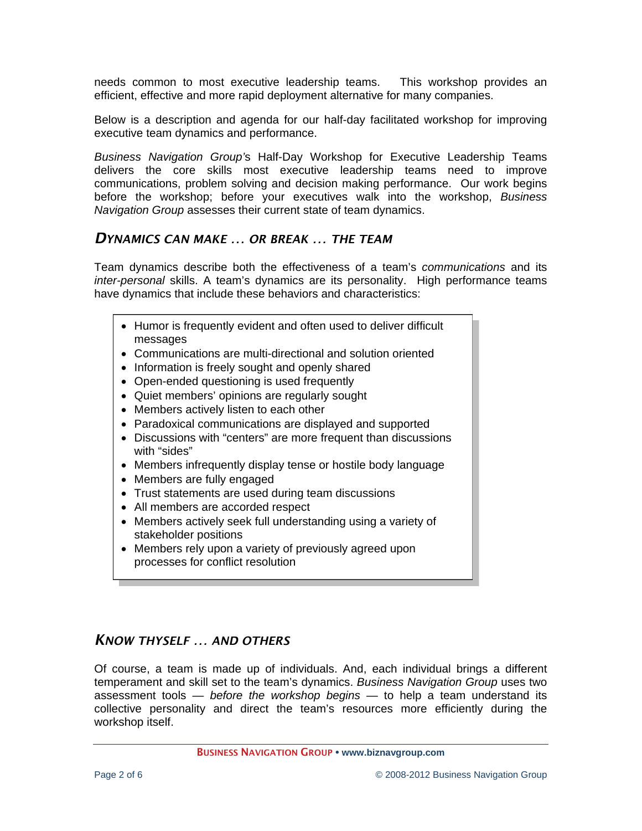needs common to most executive leadership teams. This workshop provides an efficient, effective and more rapid deployment alternative for many companies.

Below is a description and agenda for our half-day facilitated workshop for improving executive team dynamics and performance.

*Business Navigation Group'*s Half-Day Workshop for Executive Leadership Teams delivers the core skills most executive leadership teams need to improve communications, problem solving and decision making performance. Our work begins before the workshop; before your executives walk into the workshop, *Business Navigation Group* assesses their current state of team dynamics.

## *DYNAMICS CAN MAKE … OR BREAK … THE TEAM*

Team dynamics describe both the effectiveness of a team's *communications* and its *inter-personal* skills. A team's dynamics are its personality. High performance teams have dynamics that include these behaviors and characteristics:

- Humor is frequently evident and often used to deliver difficult messages
- Communications are multi-directional and solution oriented
- Information is freely sought and openly shared
- Open-ended questioning is used frequently
- Quiet members' opinions are regularly sought
- Members actively listen to each other
- Paradoxical communications are displayed and supported
- Discussions with "centers" are more frequent than discussions with "sides"
- Members infrequently display tense or hostile body language
- Members are fully engaged
- Trust statements are used during team discussions
- All members are accorded respect
- Members actively seek full understanding using a variety of stakeholder positions
- Members rely upon a variety of previously agreed upon processes for conflict resolution

## *KNOW THYSELF … AND OTHERS*

Of course, a team is made up of individuals. And, each individual brings a different temperament and skill set to the team's dynamics. *Business Navigation Group* uses two assessment tools — *before the workshop begins* — to help a team understand its collective personality and direct the team's resources more efficiently during the workshop itself.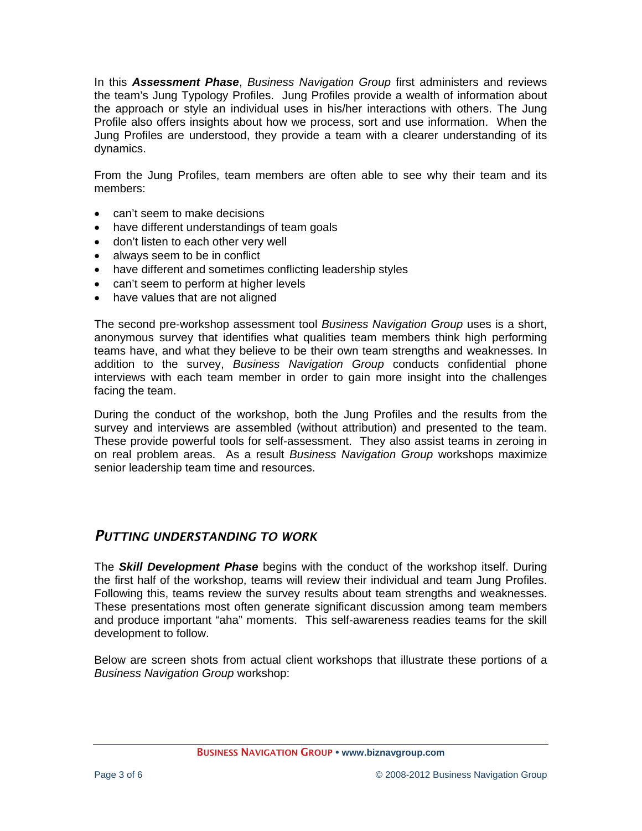In this *Assessment Phase*, *Business Navigation Group* first administers and reviews the team's Jung Typology Profiles. Jung Profiles provide a wealth of information about the approach or style an individual uses in his/her interactions with others. The Jung Profile also offers insights about how we process, sort and use information. When the Jung Profiles are understood, they provide a team with a clearer understanding of its dynamics.

From the Jung Profiles, team members are often able to see why their team and its members:

- can't seem to make decisions
- have different understandings of team goals
- don't listen to each other very well
- always seem to be in conflict
- have different and sometimes conflicting leadership styles
- can't seem to perform at higher levels
- have values that are not aligned

The second pre-workshop assessment tool *Business Navigation Group* uses is a short, anonymous survey that identifies what qualities team members think high performing teams have, and what they believe to be their own team strengths and weaknesses. In addition to the survey, *Business Navigation Group* conducts confidential phone interviews with each team member in order to gain more insight into the challenges facing the team.

During the conduct of the workshop, both the Jung Profiles and the results from the survey and interviews are assembled (without attribution) and presented to the team. These provide powerful tools for self-assessment. They also assist teams in zeroing in on real problem areas. As a result *Business Navigation Group* workshops maximize senior leadership team time and resources.

## *PUTTING UNDERSTANDING TO WORK*

The *Skill Development Phase* begins with the conduct of the workshop itself. During the first half of the workshop, teams will review their individual and team Jung Profiles. Following this, teams review the survey results about team strengths and weaknesses. These presentations most often generate significant discussion among team members and produce important "aha" moments. This self-awareness readies teams for the skill development to follow.

Below are screen shots from actual client workshops that illustrate these portions of a *Business Navigation Group* workshop:

BUSINESS NAVIGATION GROUP **• www.biznavgroup.com**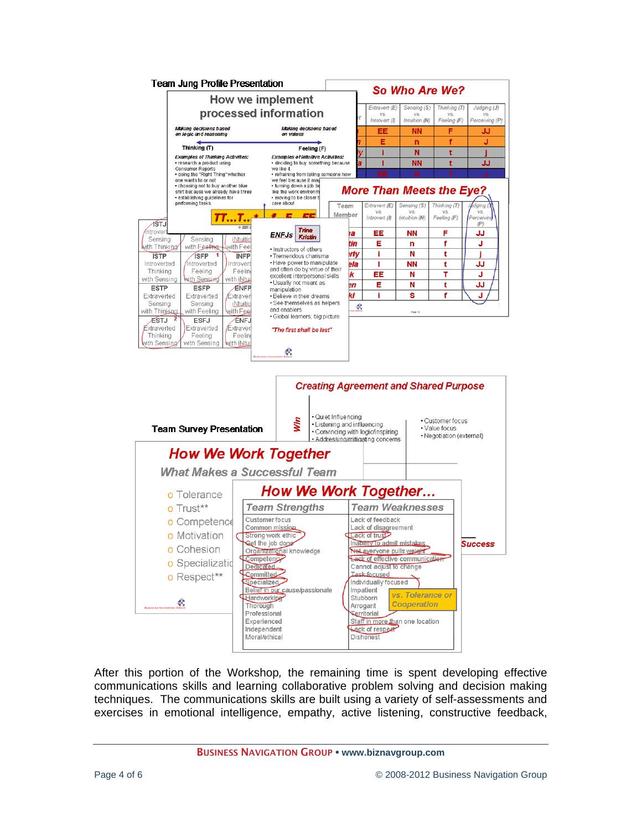

After this portion of the Workshop*,* the remaining time is spent developing effective communications skills and learning collaborative problem solving and decision making techniques. The communications skills are built using a variety of self-assessments and exercises in emotional intelligence, empathy, active listening, constructive feedback,

BUSINESS NAVIGATION GROUP **• www.biznavgroup.com**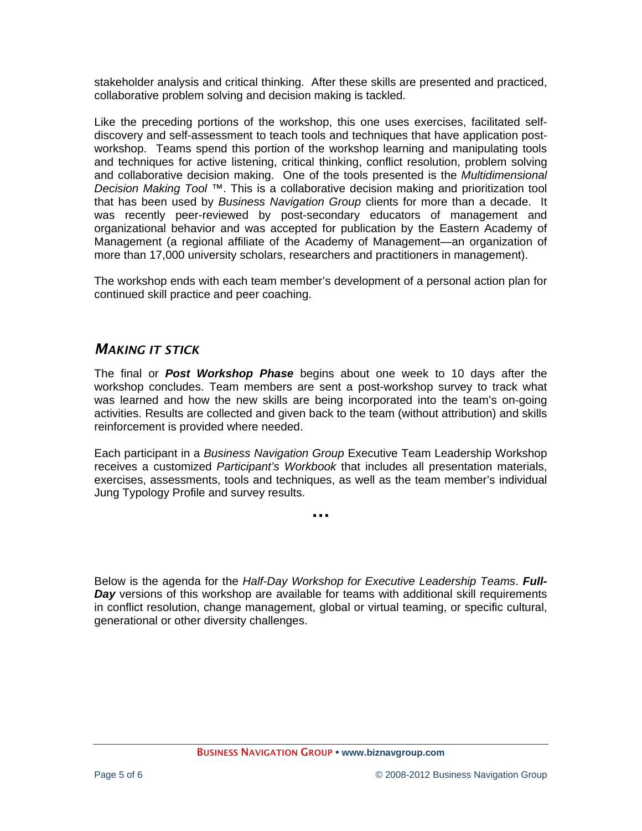stakeholder analysis and critical thinking. After these skills are presented and practiced, collaborative problem solving and decision making is tackled.

Like the preceding portions of the workshop, this one uses exercises, facilitated selfdiscovery and self-assessment to teach tools and techniques that have application postworkshop. Teams spend this portion of the workshop learning and manipulating tools and techniques for active listening, critical thinking, conflict resolution, problem solving and collaborative decision making. One of the tools presented is the *Multidimensional Decision Making Tool* ™. This is a collaborative decision making and prioritization tool that has been used by *Business Navigation Group* clients for more than a decade. It was recently peer-reviewed by post-secondary educators of management and organizational behavior and was accepted for publication by the Eastern Academy of Management (a regional affiliate of the Academy of Management—an organization of more than 17,000 university scholars, researchers and practitioners in management).

The workshop ends with each team member's development of a personal action plan for continued skill practice and peer coaching.

## *MAKING IT STICK*

The final or *Post Workshop Phase* begins about one week to 10 days after the workshop concludes. Team members are sent a post-workshop survey to track what was learned and how the new skills are being incorporated into the team's on-going activities. Results are collected and given back to the team (without attribution) and skills reinforcement is provided where needed.

Each participant in a *Business Navigation Group* Executive Team Leadership Workshop receives a customized *Participant's Workbook* that includes all presentation materials, exercises, assessments, tools and techniques, as well as the team member's individual Jung Typology Profile and survey results.

**…** 

Below is the agenda for the *Half-Day Workshop for Executive Leadership Teams*. *Full-Day* versions of this workshop are available for teams with additional skill requirements in conflict resolution, change management, global or virtual teaming, or specific cultural, generational or other diversity challenges.